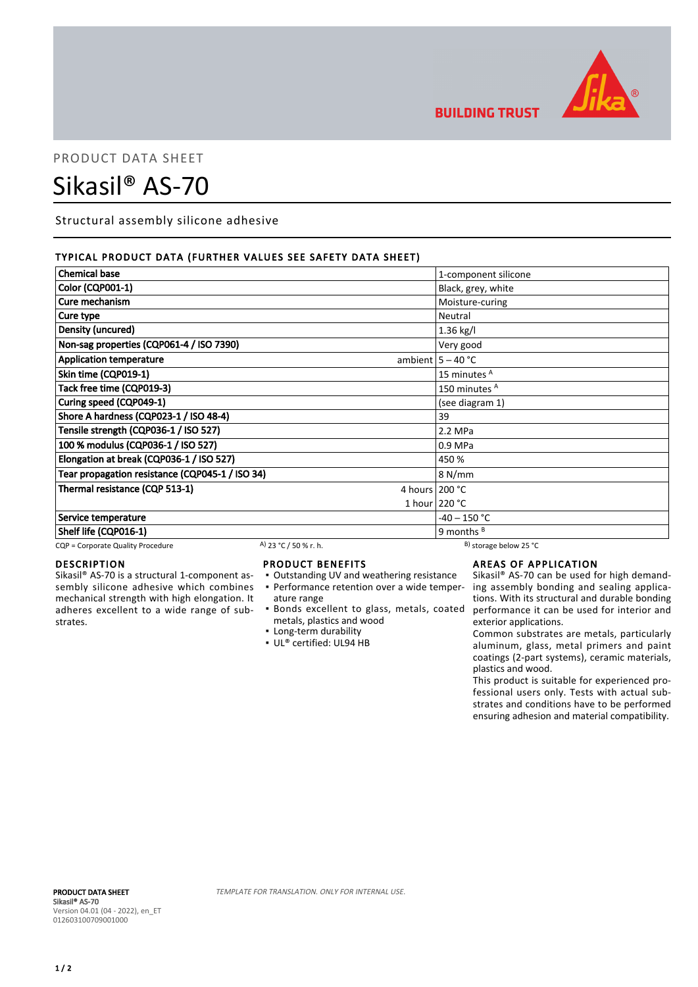

**BUILDING TRUST** 

## PRODUCT DATA SHEET

# Sikasil® AS-70

Structural assembly silicone adhesive

#### TYPICAL PRODUCT DATA (FURTHER VALUES SEE SAFETY DATA SHEET)

| <b>Chemical base</b>                            |                       |                  | 1-component silicone         |
|-------------------------------------------------|-----------------------|------------------|------------------------------|
| <b>Color (CQP001-1)</b>                         |                       |                  | Black, grey, white           |
| Cure mechanism                                  |                       |                  | Moisture-curing              |
| Cure type                                       |                       |                  | Neutral                      |
| <b>Density (uncured)</b>                        |                       |                  | 1.36 kg/l                    |
| Non-sag properties (CQP061-4 / ISO 7390)        |                       |                  | Very good                    |
| <b>Application temperature</b>                  |                       |                  | ambient $5 - 40$ °C          |
| Skin time (CQP019-1)                            |                       |                  | 15 minutes <sup>A</sup>      |
| Tack free time (CQP019-3)                       |                       |                  | 150 minutes <sup>A</sup>     |
| Curing speed (CQP049-1)                         |                       |                  | (see diagram 1)              |
| Shore A hardness (CQP023-1 / ISO 48-4)          |                       |                  | 39                           |
| Tensile strength (CQP036-1 / ISO 527)           |                       | 2.2 MPa          |                              |
| 100 % modulus (CQP036-1 / ISO 527)              |                       | 0.9 MPa          |                              |
| Elongation at break (CQP036-1 / ISO 527)        |                       | 450 %            |                              |
| Tear propagation resistance (CQP045-1 / ISO 34) |                       |                  | 8 N/mm                       |
| Thermal resistance (CQP 513-1)                  |                       | 4 hours $200 °C$ |                              |
|                                                 |                       |                  | 1 hour $220 °C$              |
| Service temperature                             |                       |                  | $-40 - 150 °C$               |
| Shelf life (CQP016-1)                           |                       |                  | 9 months $B$                 |
| CQP = Corporate Quality Procedure               | A) 23 °C / 50 % r. h. |                  | $^{B}$ ) storage below 25 °C |

### DESCRIPTION

Sikasil® AS-70 is a structural 1-component assembly silicone adhesive which combines mechanical strength with high elongation. It adheres excellent to a wide range of substrates.

#### PRODUCT BENEFITS

- Outstanding UV and weathering resistance
- Performance retention over a wide temper-▪ ature range
- metals, plastics and wood
- **Example 1** Long-term durability
- UL® certified: UL94 HB

#### AREAS OF APPLICATION

Bonds excellent to glass, metals, coated ▪ performance it can be used for interior and Sikasil® AS-70 can be used for high demanding assembly bonding and sealing applications. With its structural and durable bonding exterior applications.

Common substrates are metals, particularly aluminum, glass, metal primers and paint coatings (2-part systems), ceramic materials, plastics and wood.

This product is suitable for experienced professional users only. Tests with actual substrates and conditions have to be performed ensuring adhesion and material compatibility.